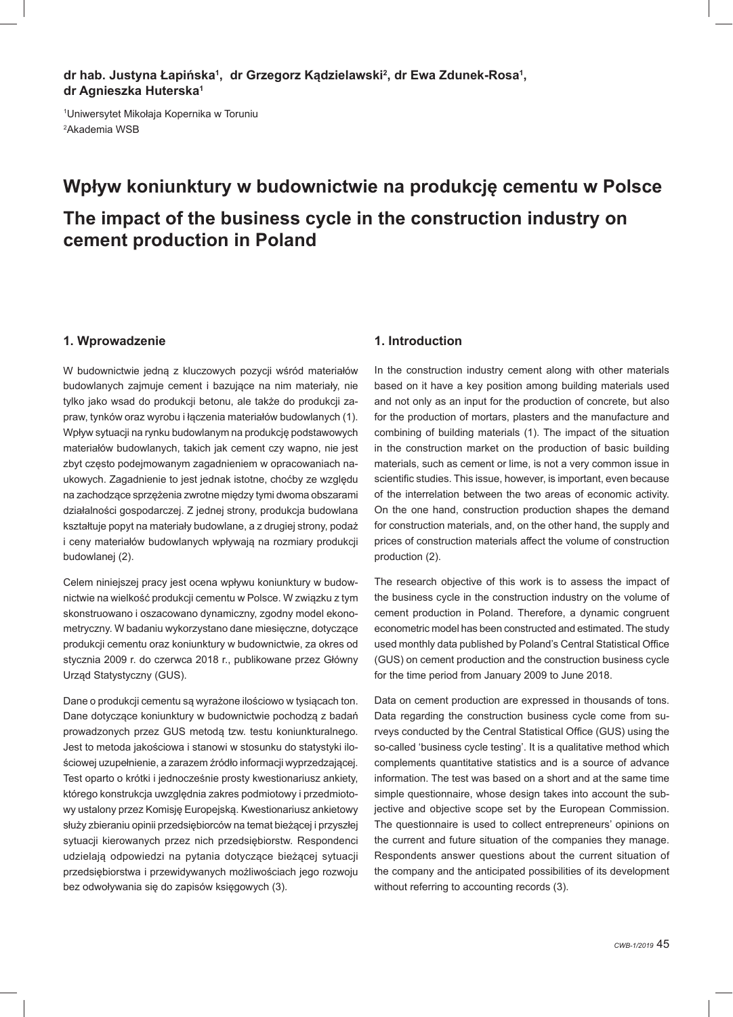dr hab. Justyna Łapińska<sup>1</sup>, dr Grzegorz Kądzielawski<sup>2</sup>, dr Ewa Zdunek-Rosa<sup>1</sup>, **dr Agnieszka Huterska1**

1 Uniwersytet Mikołaja Kopernika w Toruniu 2 Akademia WSB

# **Wpływ koniunktury w budownictwie na produkcję cementu w Polsce The impact of the business cycle in the construction industry on cement production in Poland**

#### **1. Wprowadzenie**

W budownictwie jedną z kluczowych pozycji wśród materiałów budowlanych zajmuje cement i bazujące na nim materiały, nie tylko jako wsad do produkcji betonu, ale także do produkcji zapraw, tynków oraz wyrobu i łączenia materiałów budowlanych (1). Wpływ sytuacji na rynku budowlanym na produkcję podstawowych materiałów budowlanych, takich jak cement czy wapno, nie jest zbyt często podejmowanym zagadnieniem w opracowaniach naukowych. Zagadnienie to jest jednak istotne, choćby ze względu na zachodzące sprzężenia zwrotne między tymi dwoma obszarami działalności gospodarczej. Z jednej strony, produkcja budowlana kształtuje popyt na materiały budowlane, a z drugiej strony, podaż i ceny materiałów budowlanych wpływają na rozmiary produkcji budowlanej (2).

Celem niniejszej pracy jest ocena wpływu koniunktury w budownictwie na wielkość produkcji cementu w Polsce. W związku z tym skonstruowano i oszacowano dynamiczny, zgodny model ekonometryczny. W badaniu wykorzystano dane miesięczne, dotyczące produkcji cementu oraz koniunktury w budownictwie, za okres od stycznia 2009 r. do czerwca 2018 r., publikowane przez Główny Urząd Statystyczny (GUS).

Dane o produkcji cementu są wyrażone ilościowo w tysiącach ton. Dane dotyczące koniunktury w budownictwie pochodzą z badań prowadzonych przez GUS metodą tzw. testu koniunkturalnego. Jest to metoda jakościowa i stanowi w stosunku do statystyki ilościowej uzupełnienie, a zarazem źródło informacji wyprzedzającej. Test oparto o krótki i jednocześnie prosty kwestionariusz ankiety, którego konstrukcja uwzględnia zakres podmiotowy i przedmiotowy ustalony przez Komisję Europejską. Kwestionariusz ankietowy służy zbieraniu opinii przedsiębiorców na temat bieżącej i przyszłej sytuacji kierowanych przez nich przedsiębiorstw. Respondenci udzielają odpowiedzi na pytania dotyczące bieżącej sytuacji przedsiębiorstwa i przewidywanych możliwościach jego rozwoju bez odwoływania się do zapisów księgowych (3).

#### **1. Introduction**

In the construction industry cement along with other materials based on it have a key position among building materials used and not only as an input for the production of concrete, but also for the production of mortars, plasters and the manufacture and combining of building materials (1). The impact of the situation in the construction market on the production of basic building materials, such as cement or lime, is not a very common issue in scientific studies. This issue, however, is important, even because of the interrelation between the two areas of economic activity. On the one hand, construction production shapes the demand for construction materials, and, on the other hand, the supply and prices of construction materials affect the volume of construction production (2).

The research objective of this work is to assess the impact of the business cycle in the construction industry on the volume of cement production in Poland. Therefore, a dynamic congruent econometric model has been constructed and estimated. The study used monthly data published by Poland's Central Statistical Office (GUS) on cement production and the construction business cycle for the time period from January 2009 to June 2018.

Data on cement production are expressed in thousands of tons. Data regarding the construction business cycle come from surveys conducted by the Central Statistical Office (GUS) using the so-called 'business cycle testing'. It is a qualitative method which complements quantitative statistics and is a source of advance information. The test was based on a short and at the same time simple questionnaire, whose design takes into account the subjective and objective scope set by the European Commission. The questionnaire is used to collect entrepreneurs' opinions on the current and future situation of the companies they manage. Respondents answer questions about the current situation of the company and the anticipated possibilities of its development without referring to accounting records (3).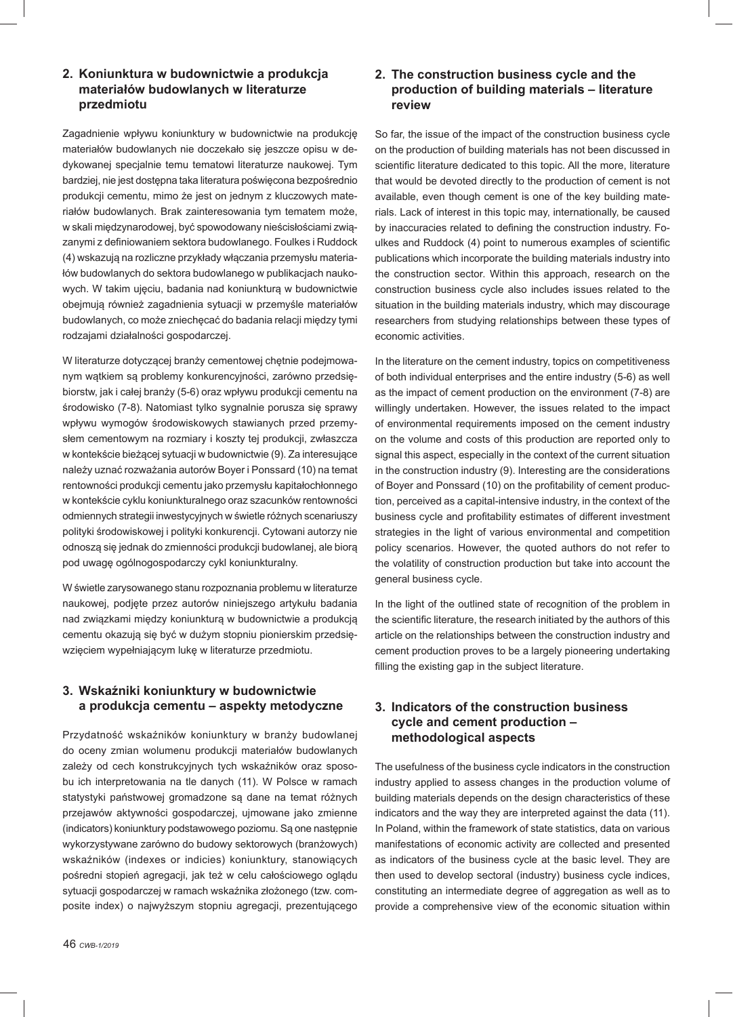**2. Koniunktura w budownictwie a produkcja materiałów budowlanych w literaturze przedmiotu**

Zagadnienie wpływu koniunktury w budownictwie na produkcję materiałów budowlanych nie doczekało się jeszcze opisu w dedykowanej specjalnie temu tematowi literaturze naukowej. Tym bardziej, nie jest dostępna taka literatura poświęcona bezpośrednio produkcji cementu, mimo że jest on jednym z kluczowych materiałów budowlanych. Brak zainteresowania tym tematem może, w skali międzynarodowej, być spowodowany nieścisłościami związanymi z definiowaniem sektora budowlanego. Foulkes i Ruddock (4) wskazują na rozliczne przykłady włączania przemysłu materiałów budowlanych do sektora budowlanego w publikacjach naukowych. W takim ujęciu, badania nad koniunkturą w budownictwie obejmują również zagadnienia sytuacji w przemyśle materiałów budowlanych, co może zniechęcać do badania relacji między tymi rodzajami działalności gospodarczej.

W literaturze dotyczącej branży cementowej chętnie podejmowanym wątkiem są problemy konkurencyjności, zarówno przedsiębiorstw, jak i całej branży (5-6) oraz wpływu produkcji cementu na środowisko (7-8). Natomiast tylko sygnalnie porusza się sprawy wpływu wymogów środowiskowych stawianych przed przemysłem cementowym na rozmiary i koszty tej produkcji, zwłaszcza w kontekście bieżącej sytuacji w budownictwie (9). Za interesujące należy uznać rozważania autorów Boyer i Ponssard (10) na temat rentowności produkcji cementu jako przemysłu kapitałochłonnego w kontekście cyklu koniunkturalnego oraz szacunków rentowności odmiennych strategii inwestycyjnych w świetle różnych scenariuszy polityki środowiskowej i polityki konkurencji. Cytowani autorzy nie odnoszą się jednak do zmienności produkcji budowlanej, ale biorą pod uwagę ogólnogospodarczy cykl koniunkturalny.

W świetle zarysowanego stanu rozpoznania problemu w literaturze naukowej, podjęte przez autorów niniejszego artykułu badania nad związkami między koniunkturą w budownictwie a produkcją cementu okazują się być w dużym stopniu pionierskim przedsięwzięciem wypełniającym lukę w literaturze przedmiotu.

# **3. Wskaźniki koniunktury w budownictwie a produkcja cementu – aspekty metodyczne**

Przydatność wskaźników koniunktury w branży budowlanej do oceny zmian wolumenu produkcji materiałów budowlanych zależy od cech konstrukcyjnych tych wskaźników oraz sposobu ich interpretowania na tle danych (11). W Polsce w ramach statystyki państwowej gromadzone są dane na temat różnych przejawów aktywności gospodarczej, ujmowane jako zmienne (indicators) koniunktury podstawowego poziomu. Są one następnie wykorzystywane zarówno do budowy sektorowych (branżowych) wskaźników (indexes or indicies) koniunktury, stanowiących pośredni stopień agregacji, jak też w celu całościowego oglądu sytuacji gospodarczej w ramach wskaźnika złożonego (tzw. composite index) o najwyższym stopniu agregacji, prezentującego

## **2. The construction business cycle and the production of building materials – literature review**

So far, the issue of the impact of the construction business cycle on the production of building materials has not been discussed in scientific literature dedicated to this topic. All the more, literature that would be devoted directly to the production of cement is not available, even though cement is one of the key building materials. Lack of interest in this topic may, internationally, be caused by inaccuracies related to defining the construction industry. Foulkes and Ruddock (4) point to numerous examples of scientific publications which incorporate the building materials industry into the construction sector. Within this approach, research on the construction business cycle also includes issues related to the situation in the building materials industry, which may discourage researchers from studying relationships between these types of economic activities.

In the literature on the cement industry, topics on competitiveness of both individual enterprises and the entire industry (5-6) as well as the impact of cement production on the environment (7-8) are willingly undertaken. However, the issues related to the impact of environmental requirements imposed on the cement industry on the volume and costs of this production are reported only to signal this aspect, especially in the context of the current situation in the construction industry (9). Interesting are the considerations of Boyer and Ponssard (10) on the profitability of cement production, perceived as a capital-intensive industry, in the context of the business cycle and profitability estimates of different investment strategies in the light of various environmental and competition policy scenarios. However, the quoted authors do not refer to the volatility of construction production but take into account the general business cycle.

In the light of the outlined state of recognition of the problem in the scientific literature, the research initiated by the authors of this article on the relationships between the construction industry and cement production proves to be a largely pioneering undertaking filling the existing gap in the subject literature.

## **3. Indicators of the construction business cycle and cement production – methodological aspects**

The usefulness of the business cycle indicators in the construction industry applied to assess changes in the production volume of building materials depends on the design characteristics of these indicators and the way they are interpreted against the data (11). In Poland, within the framework of state statistics, data on various manifestations of economic activity are collected and presented as indicators of the business cycle at the basic level. They are then used to develop sectoral (industry) business cycle indices, constituting an intermediate degree of aggregation as well as to provide a comprehensive view of the economic situation within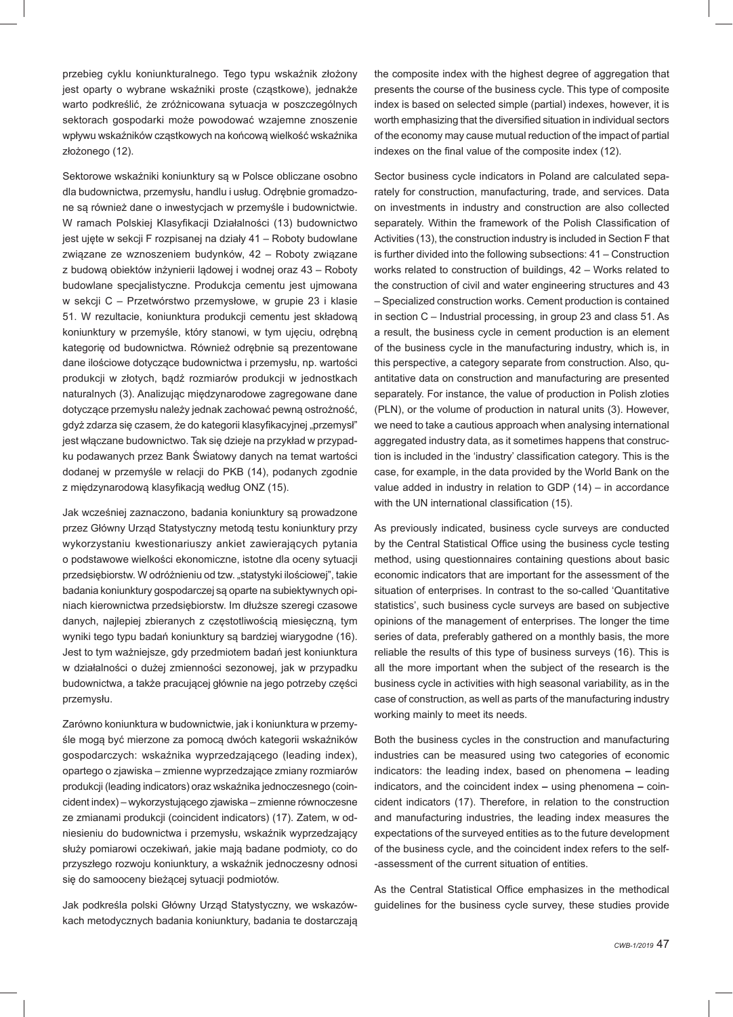przebieg cyklu koniunkturalnego. Tego typu wskaźnik złożony jest oparty o wybrane wskaźniki proste (cząstkowe), jednakże warto podkreślić, że zróżnicowana sytuacja w poszczególnych sektorach gospodarki może powodować wzajemne znoszenie wpływu wskaźników cząstkowych na końcową wielkość wskaźnika złożonego (12).

Sektorowe wskaźniki koniunktury są w Polsce obliczane osobno dla budownictwa, przemysłu, handlu i usług. Odrębnie gromadzone są również dane o inwestycjach w przemyśle i budownictwie. W ramach Polskiej Klasyfikacji Działalności (13) budownictwo jest ujęte w sekcji F rozpisanej na działy 41 – Roboty budowlane związane ze wznoszeniem budynków, 42 – Roboty związane z budową obiektów inżynierii lądowej i wodnej oraz 43 – Roboty budowlane specjalistyczne. Produkcja cementu jest ujmowana w sekcji C – Przetwórstwo przemysłowe, w grupie 23 i klasie 51. W rezultacie, koniunktura produkcji cementu jest składową koniunktury w przemyśle, który stanowi, w tym ujęciu, odrębną kategorię od budownictwa. Również odrębnie są prezentowane dane ilościowe dotyczące budownictwa i przemysłu, np. wartości produkcji w złotych, bądź rozmiarów produkcji w jednostkach naturalnych (3). Analizując międzynarodowe zagregowane dane dotyczące przemysłu należy jednak zachować pewną ostrożność, gdyż zdarza się czasem, że do kategorii klasyfikacyjnej "przemysł" jest włączane budownictwo. Tak się dzieje na przykład w przypadku podawanych przez Bank Światowy danych na temat wartości dodanej w przemyśle w relacji do PKB (14), podanych zgodnie z międzynarodową klasyfikacją według ONZ (15).

Jak wcześniej zaznaczono, badania koniunktury są prowadzone przez Główny Urząd Statystyczny metodą testu koniunktury przy wykorzystaniu kwestionariuszy ankiet zawierających pytania o podstawowe wielkości ekonomiczne, istotne dla oceny sytuacji przedsiębiorstw. W odróżnieniu od tzw. "statystyki ilościowej", takie badania koniunktury gospodarczej są oparte na subiektywnych opiniach kierownictwa przedsiębiorstw. Im dłuższe szeregi czasowe danych, najlepiej zbieranych z częstotliwością miesięczną, tym wyniki tego typu badań koniunktury są bardziej wiarygodne (16). Jest to tym ważniejsze, gdy przedmiotem badań jest koniunktura w działalności o dużej zmienności sezonowej, jak w przypadku budownictwa, a także pracującej głównie na jego potrzeby części przemysłu.

Zarówno koniunktura w budownictwie, jak i koniunktura w przemyśle mogą być mierzone za pomocą dwóch kategorii wskaźników gospodarczych: wskaźnika wyprzedzającego (leading index), opartego o zjawiska – zmienne wyprzedzające zmiany rozmiarów produkcji (leading indicators) oraz wskaźnika jednoczesnego (coincident index) – wykorzystującego zjawiska – zmienne równoczesne ze zmianami produkcji (coincident indicators) (17). Zatem, w odniesieniu do budownictwa i przemysłu, wskaźnik wyprzedzający służy pomiarowi oczekiwań, jakie mają badane podmioty, co do przyszłego rozwoju koniunktury, a wskaźnik jednoczesny odnosi się do samooceny bieżącej sytuacji podmiotów.

Jak podkreśla polski Główny Urząd Statystyczny, we wskazówkach metodycznych badania koniunktury, badania te dostarczają the composite index with the highest degree of aggregation that presents the course of the business cycle. This type of composite index is based on selected simple (partial) indexes, however, it is worth emphasizing that the diversified situation in individual sectors of the economy may cause mutual reduction of the impact of partial indexes on the final value of the composite index (12).

Sector business cycle indicators in Poland are calculated separately for construction, manufacturing, trade, and services. Data on investments in industry and construction are also collected separately. Within the framework of the Polish Classification of Activities (13), the construction industry is included in Section F that is further divided into the following subsections: 41 – Construction works related to construction of buildings, 42 – Works related to the construction of civil and water engineering structures and 43 – Specialized construction works. Cement production is contained in section C – Industrial processing, in group 23 and class 51. As a result, the business cycle in cement production is an element of the business cycle in the manufacturing industry, which is, in this perspective, a category separate from construction. Also, quantitative data on construction and manufacturing are presented separately. For instance, the value of production in Polish zloties (PLN), or the volume of production in natural units (3). However, we need to take a cautious approach when analysing international aggregated industry data, as it sometimes happens that construction is included in the 'industry' classification category. This is the case, for example, in the data provided by the World Bank on the value added in industry in relation to GDP (14) – in accordance with the UN international classification (15).

As previously indicated, business cycle surveys are conducted by the Central Statistical Office using the business cycle testing method, using questionnaires containing questions about basic economic indicators that are important for the assessment of the situation of enterprises. In contrast to the so-called 'Quantitative statistics', such business cycle surveys are based on subjective opinions of the management of enterprises. The longer the time series of data, preferably gathered on a monthly basis, the more reliable the results of this type of business surveys (16). This is all the more important when the subject of the research is the business cycle in activities with high seasonal variability, as in the case of construction, as well as parts of the manufacturing industry working mainly to meet its needs.

Both the business cycles in the construction and manufacturing industries can be measured using two categories of economic indicators: the leading index, based on phenomena **–** leading indicators, and the coincident index **–** using phenomena **–** coincident indicators (17). Therefore, in relation to the construction and manufacturing industries, the leading index measures the expectations of the surveyed entities as to the future development of the business cycle, and the coincident index refers to the self- -assessment of the current situation of entities.

As the Central Statistical Office emphasizes in the methodical guidelines for the business cycle survey, these studies provide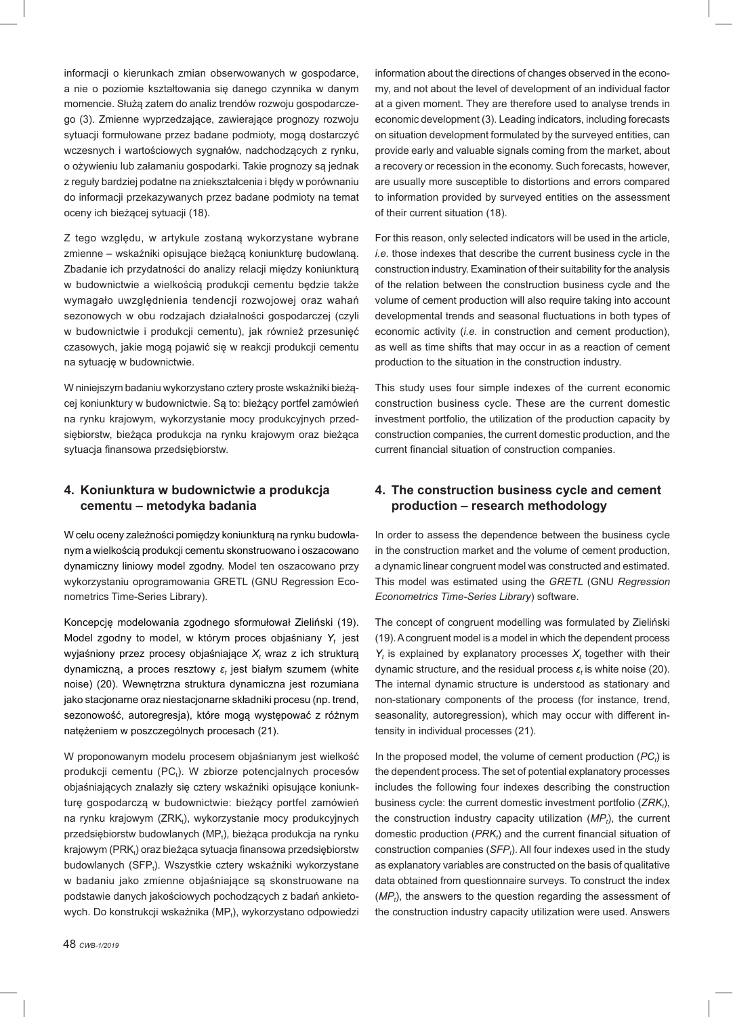informacji o kierunkach zmian obserwowanych w gospodarce, a nie o poziomie kształtowania się danego czynnika w danym momencie. Służą zatem do analiz trendów rozwoju gospodarczego (3). Zmienne wyprzedzające, zawierające prognozy rozwoju sytuacji formułowane przez badane podmioty, mogą dostarczyć wczesnych i wartościowych sygnałów, nadchodzących z rynku, o ożywieniu lub załamaniu gospodarki. Takie prognozy są jednak z reguły bardziej podatne na zniekształcenia i błędy w porównaniu do informacji przekazywanych przez badane podmioty na temat oceny ich bieżącej sytuacji (18).

Z tego względu, w artykule zostaną wykorzystane wybrane zmienne – wskaźniki opisujące bieżącą koniunkturę budowlaną. Zbadanie ich przydatności do analizy relacji między koniunkturą w budownictwie a wielkością produkcji cementu będzie także wymagało uwzględnienia tendencji rozwojowej oraz wahań sezonowych w obu rodzajach działalności gospodarczej (czyli w budownictwie i produkcji cementu), jak również przesunięć czasowych, jakie mogą pojawić się w reakcji produkcji cementu na sytuację w budownictwie.

W niniejszym badaniu wykorzystano cztery proste wskaźniki bieżącej koniunktury w budownictwie. Są to: bieżący portfel zamówień na rynku krajowym, wykorzystanie mocy produkcyjnych przedsiębiorstw, bieżąca produkcja na rynku krajowym oraz bieżąca sytuacja finansowa przedsiębiorstw.

## **4. Koniunktura w budownictwie a produkcja cementu – metodyka badania**

W celu oceny zależności pomiędzy koniunkturą na rynku budowlanym a wielkością produkcji cementu skonstruowano i oszacowano dynamiczny liniowy model zgodny. Model ten oszacowano przy wykorzystaniu oprogramowania GRETL (GNU Regression Econometrics Time-Series Library).

Koncepcję modelowania zgodnego sformułował Zieliński (19). Model zgodny to model, w którym proces objaśniany *Yt* jest wyjaśniony przez procesy objaśniające  $\mathsf{X}_t$  wraz z ich strukturą dynamiczną, a proces resztowy *ε<sup>t</sup>* jest białym szumem (white noise) (20). Wewnętrzna struktura dynamiczna jest rozumiana jako stacjonarne oraz niestacjonarne składniki procesu (np. trend, sezonowość, autoregresja), które mogą występować z różnym natężeniem w poszczególnych procesach (21).

W proponowanym modelu procesem objaśnianym jest wielkość produkcji cementu (PC<sub>t</sub>). W zbiorze potencjalnych procesów objaśniających znalazły się cztery wskaźniki opisujące koniunkturę gospodarczą w budownictwie: bieżący portfel zamówień na rynku krajowym (ZRK<sub>t</sub>), wykorzystanie mocy produkcyjnych przedsiębiorstw budowlanych (MP<sub>t</sub>), bieżąca produkcja na rynku krajowym (PRK<sub>t</sub>) oraz bieżąca sytuacja finansowa przedsiębiorstw budowlanych (SFP<sub>t</sub>). Wszystkie cztery wskaźniki wykorzystane w badaniu jako zmienne objaśniające są skonstruowane na podstawie danych jakościowych pochodzących z badań ankietowych. Do konstrukcji wskaźnika (MP<sub>t</sub>), wykorzystano odpowiedzi information about the directions of changes observed in the economy, and not about the level of development of an individual factor at a given moment. They are therefore used to analyse trends in economic development (3). Leading indicators, including forecasts on situation development formulated by the surveyed entities, can provide early and valuable signals coming from the market, about a recovery or recession in the economy. Such forecasts, however, are usually more susceptible to distortions and errors compared to information provided by surveyed entities on the assessment of their current situation (18).

For this reason, only selected indicators will be used in the article, *i.e.* those indexes that describe the current business cycle in the construction industry. Examination of their suitability for the analysis of the relation between the construction business cycle and the volume of cement production will also require taking into account developmental trends and seasonal fluctuations in both types of economic activity (*i.e.* in construction and cement production), as well as time shifts that may occur in as a reaction of cement production to the situation in the construction industry.

This study uses four simple indexes of the current economic construction business cycle. These are the current domestic investment portfolio, the utilization of the production capacity by construction companies, the current domestic production, and the current financial situation of construction companies.

## **4. The construction business cycle and cement production – research methodology**

In order to assess the dependence between the business cycle in the construction market and the volume of cement production, a dynamic linear congruent model was constructed and estimated. This model was estimated using the *GRETL* (GNU *Regression Econometrics Time-Series Library*) software.

The concept of congruent modelling was formulated by Zieliński (19). A congruent model is a model in which the dependent process  $Y_t$  is explained by explanatory processes  $X_t$  together with their dynamic structure, and the residual process *ε<sup>t</sup>* is white noise (20). The internal dynamic structure is understood as stationary and non-stationary components of the process (for instance, trend, seasonality, autoregression), which may occur with different intensity in individual processes (21).

In the proposed model, the volume of cement production  $(PC_t)$  is the dependent process. The set of potential explanatory processes includes the following four indexes describing the construction business cycle: the current domestic investment portfolio (ZRK<sub>t</sub>), the construction industry capacity utilization  $(MP_t)$ , the current domestic production (PRK<sub>t</sub>) and the current financial situation of construction companies (SFP<sub>t</sub>). All four indexes used in the study as explanatory variables are constructed on the basis of qualitative data obtained from questionnaire surveys. To construct the index (MP<sub>t</sub>), the answers to the question regarding the assessment of the construction industry capacity utilization were used. Answers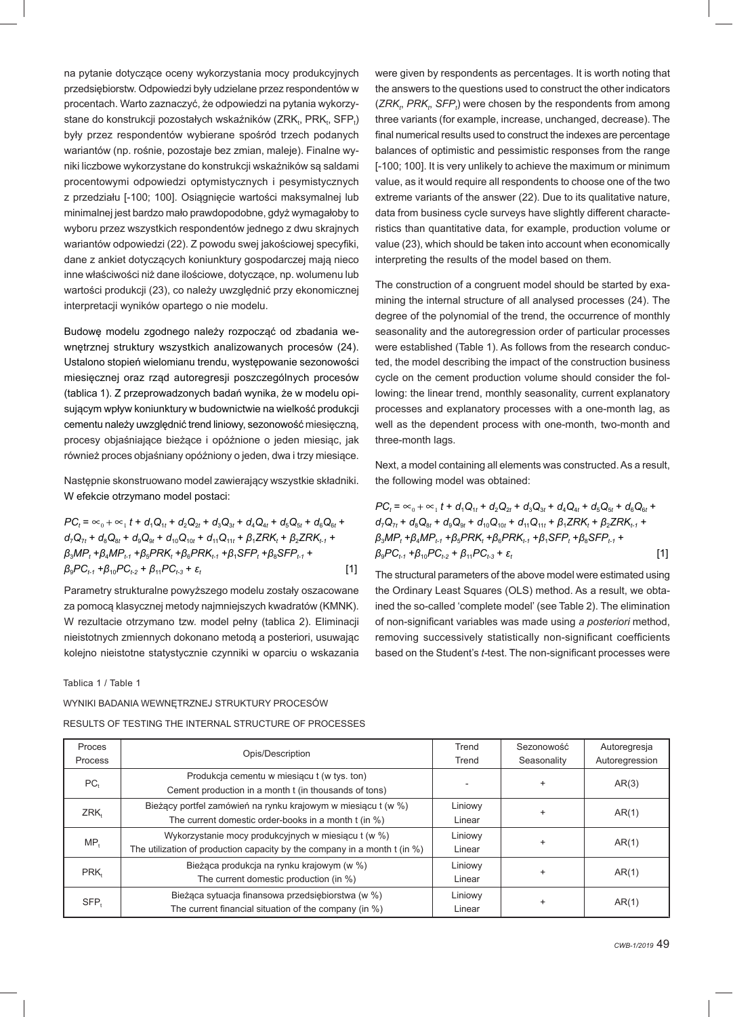na pytanie dotyczące oceny wykorzystania mocy produkcyjnych przedsiębiorstw. Odpowiedzi były udzielane przez respondentów w procentach. Warto zaznaczyć, że odpowiedzi na pytania wykorzystane do konstrukcji pozostałych wskaźników (ZRK<sub>t</sub>, PRK<sub>t</sub>, SFP<sub>t</sub>) były przez respondentów wybierane spośród trzech podanych wariantów (np. rośnie, pozostaje bez zmian, maleje). Finalne wyniki liczbowe wykorzystane do konstrukcji wskaźników są saldami procentowymi odpowiedzi optymistycznych i pesymistycznych z przedziału [-100; 100]. Osiągnięcie wartości maksymalnej lub minimalnej jest bardzo mało prawdopodobne, gdyż wymagałoby to wyboru przez wszystkich respondentów jednego z dwu skrajnych wariantów odpowiedzi (22). Z powodu swej jakościowej specyfiki, dane z ankiet dotyczących koniunktury gospodarczej mają nieco inne właściwości niż dane ilościowe, dotyczące, np. wolumenu lub wartości produkcji (23), co należy uwzględnić przy ekonomicznej interpretacji wyników opartego o nie modelu.

Budowę modelu zgodnego należy rozpocząć od zbadania wewnętrznej struktury wszystkich analizowanych procesów (24). Ustalono stopień wielomianu trendu, występowanie sezonowości miesięcznej oraz rząd autoregresji poszczególnych procesów (tablica 1). Z przeprowadzonych badań wynika, że w modelu opisującym wpływ koniunktury w budownictwie na wielkość produkcji cementu należy uwzględnić trend liniowy, sezonowość miesięczną, procesy objaśniające bieżące i opóźnione o jeden miesiąc, jak również proces objaśniany opóźniony o jeden, dwa i trzy miesiące.

Następnie skonstruowano model zawierający wszystkie składniki. W efekcie otrzymano model postaci:

$$
PC_{t} = \infty_{0} + \infty_{1} t + d_{1}Q_{1t} + d_{2}Q_{2t} + d_{3}Q_{3t} + d_{4}Q_{4t} + d_{5}Q_{5t} + d_{6}Q_{6t} + d_{7}Q_{7t} + d_{8}Q_{8t} + d_{9}Q_{9t} + d_{10}Q_{10t} + d_{11}Q_{11t} + \beta_{1}ZRK_{t} + \beta_{2}ZRK_{t-1} + \beta_{3}MP_{t} + \beta_{4}MP_{t-1} + \beta_{5}PRK_{t} + \beta_{6}PRK_{t-1} + \beta_{1} SFP_{t} + \beta_{8} SFP_{t-1} + \beta_{9}PC_{t-2} + \beta_{11}PC_{t-3} + \varepsilon_{t}
$$
\n[1]

Parametry strukturalne powyższego modelu zostały oszacowane za pomocą klasycznej metody najmniejszych kwadratów (KMNK). W rezultacie otrzymano tzw. model pełny (tablica 2). Eliminacji nieistotnych zmiennych dokonano metodą a posteriori, usuwając kolejno nieistotne statystycznie czynniki w oparciu o wskazania

Tablica 1 / Table 1

WYNIKI BADANIA WEWNĘTRZNEJ STRUKTURY PROCESÓW

RESULTS OF TESTING THE INTERNAL STRUCTURE OF PROCESSES

were given by respondents as percentages. It is worth noting that the answers to the questions used to construct the other indicators (ZRK<sub>t</sub>, PRK<sub>t</sub>, SFP<sub>t</sub>) were chosen by the respondents from among three variants (for example, increase, unchanged, decrease). The final numerical results used to construct the indexes are percentage balances of optimistic and pessimistic responses from the range [-100; 100]. It is very unlikely to achieve the maximum or minimum value, as it would require all respondents to choose one of the two extreme variants of the answer (22). Due to its qualitative nature, data from business cycle surveys have slightly different characteristics than quantitative data, for example, production volume or value (23), which should be taken into account when economically interpreting the results of the model based on them.

The construction of a congruent model should be started by examining the internal structure of all analysed processes (24). The degree of the polynomial of the trend, the occurrence of monthly seasonality and the autoregression order of particular processes were established (Table 1). As follows from the research conducted, the model describing the impact of the construction business cycle on the cement production volume should consider the following: the linear trend, monthly seasonality, current explanatory processes and explanatory processes with a one-month lag, as well as the dependent process with one-month, two-month and three-month lags.

Next, a model containing all elements was constructed. As a result, the following model was obtained:

$$
PC_{t} = \infty_{0} + \infty_{1} t + d_{1}Q_{1t} + d_{2}Q_{2t} + d_{3}Q_{3t} + d_{4}Q_{4t} + d_{5}Q_{5t} + d_{6}Q_{6t} + d_{7}Q_{7t} + d_{8}Q_{8t} + d_{9}Q_{9t} + d_{10}Q_{10t} + d_{11}Q_{11t} + \beta_{1}ZRK_{t} + \beta_{2}ZRK_{t-1} + \beta_{3}MP_{t} + \beta_{4}MP_{t-1} + \beta_{5}PRK_{t} + \beta_{6}PRK_{t-1} + \beta_{1} SFP_{t} + \beta_{8} SFP_{t-1} + \beta_{9}PC_{t-2} + \beta_{11}PC_{t-3} + \varepsilon_{t}
$$
\n[1]

The structural parameters of the above model were estimated using the Ordinary Least Squares (OLS) method. As a result, we obtained the so-called 'complete model' (see Table 2). The elimination of non-significant variables was made using a posteriori method, removing successively statistically non-significant coefficients based on the Student's *t*-test. The non-significant processes were

| Proces         |                                                                                 | Trend   | Sezonowość  | Autoregresja   |  |
|----------------|---------------------------------------------------------------------------------|---------|-------------|----------------|--|
| <b>Process</b> | Opis/Description                                                                | Trend   | Seasonality | Autoregression |  |
| $PC+$          | Produkcja cementu w miesiącu t (w tys. ton)                                     |         | $\ddot{}$   | AR(3)          |  |
|                | Cement production in a month t (in thousands of tons)                           |         |             |                |  |
| ZRK,           | Bieżący portfel zamówień na rynku krajowym w miesiącu t (w %)                   | Liniowy |             | AR(1)          |  |
|                | The current domestic order-books in a month t (in %)                            | Linear  |             |                |  |
| MP,            | Wykorzystanie mocy produkcyjnych w miesiącu t (w %)                             | Liniowy | $\ddot{}$   | AR(1)          |  |
|                | The utilization of production capacity by the company in a month $t$ (in $\%$ ) | Linear  |             |                |  |
| PRK,           | Bieżąca produkcja na rynku krajowym (w %)                                       | Liniowy |             | AR(1)          |  |
|                | The current domestic production (in %)                                          | Linear  |             |                |  |
|                | Bieżąca sytuacja finansowa przedsiębiorstwa (w %)                               | Liniowy |             | AR(1)          |  |
| SFP,           | The current financial situation of the company (in %)                           | Linear  |             |                |  |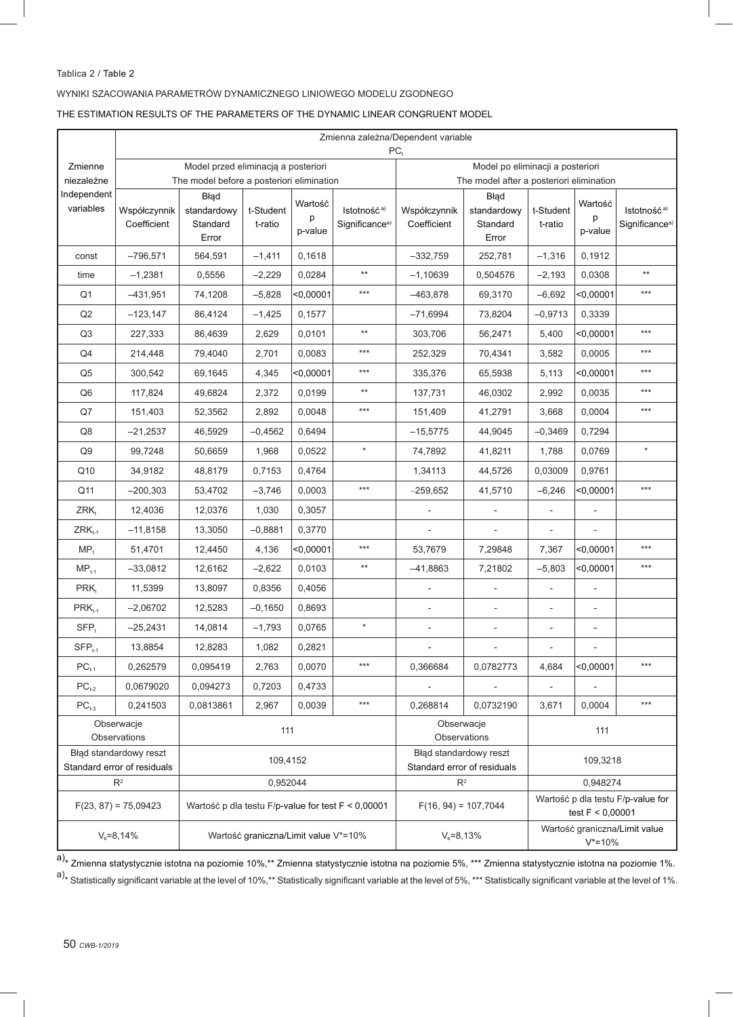# Tablica 2 / Table 2

## WYNIKI SZACOWANIA PARAMETRÓW DYNAMICZNEGO LINIOWEGO MODELU ZGODNEGO

THE ESTIMATION RESULTS OF THE PARAMETERS OF THE DYNAMIC LINEAR CONGRUENT MODEL

|                                                       | Zmienna zależna/Dependent variable<br>$PC_t$                                     |                                                    |                      |                                                       |                                                                              |                                                         |                                          |                          |                          |                                                       |
|-------------------------------------------------------|----------------------------------------------------------------------------------|----------------------------------------------------|----------------------|-------------------------------------------------------|------------------------------------------------------------------------------|---------------------------------------------------------|------------------------------------------|--------------------------|--------------------------|-------------------------------------------------------|
| Zmienne<br>niezależne                                 | Model przed eliminacją a posteriori<br>The model before a posteriori elimination |                                                    |                      |                                                       | Model po eliminacji a posteriori<br>The model after a posteriori elimination |                                                         |                                          |                          |                          |                                                       |
| Independent<br>variables                              | Współczynnik<br>Coefficient                                                      | Błąd<br>standardowy<br>Standard<br>Error           | t-Student<br>t-ratio | Wartość<br>p<br>p-value                               | Istotność <sup>a)</sup><br>Significance <sup>a)</sup>                        | Współczynnik<br>Coefficient                             | Błąd<br>standardowy<br>Standard<br>Error | t-Student<br>t-ratio     | Wartość<br>p<br>p-value  | Istotność <sup>a)</sup><br>Significance <sup>a)</sup> |
| const                                                 | $-796,571$                                                                       | 564,591                                            | $-1,411$             | 0,1618                                                |                                                                              | $-332,759$                                              | 252,781                                  | $-1,316$                 | 0,1912                   |                                                       |
| time                                                  | $-1,2381$                                                                        | 0,5556                                             | $-2,229$             | 0,0284                                                | $^{\star\star}$                                                              | $-1,10639$                                              | 0,504576                                 | $-2,193$                 | 0,0308                   | $^{\star\star}$                                       |
| Q <sub>1</sub>                                        | $-431,951$                                                                       | 74,1208                                            | $-5,828$             | < 0,00001                                             | $***$                                                                        | $-463,878$                                              | 69,3170                                  | $-6,692$                 | $<$ 0,00001              | $***$                                                 |
| Q2                                                    | $-123, 147$                                                                      | 86,4124                                            | $-1,425$             | 0,1577                                                |                                                                              | $-71,6994$                                              | 73,8204                                  | $-0,9713$                | 0,3339                   |                                                       |
| Q3                                                    | 227,333                                                                          | 86,4639                                            | 2,629                | 0,0101                                                | $^{\star\star}$                                                              | 303,706                                                 | 56,2471                                  | 5,400                    | <0.00001                 | $***$                                                 |
| Q4                                                    | 214,448                                                                          | 79,4040                                            | 2,701                | 0,0083                                                | $***$                                                                        | 252,329                                                 | 70,4341                                  | 3,582                    | 0,0005                   | $***$                                                 |
| Q <sub>5</sub>                                        | 300,542                                                                          | 69,1645                                            | 4,345                | < 0.00001                                             | ***                                                                          | 335,376                                                 | 65,5938                                  | 5,113                    | $<$ 0,00001              | $***$                                                 |
| Q <sub>6</sub>                                        | 117,824                                                                          | 49,6824                                            | 2,372                | 0,0199                                                | $^{\star\star}$                                                              | 137,731                                                 | 46,0302                                  | 2,992                    | 0,0035                   | $***$                                                 |
| Q7                                                    | 151,403                                                                          | 52,3562                                            | 2,892                | 0,0048                                                | ***                                                                          | 151,409                                                 | 41,2791                                  | 3,668                    | 0,0004                   | $***$                                                 |
| Q8                                                    | $-21,2537$                                                                       | 46,5929                                            | $-0,4562$            | 0,6494                                                |                                                                              | $-15,5775$                                              | 44,9045                                  | $-0,3469$                | 0,7294                   |                                                       |
| Q9                                                    | 99.7248                                                                          | 50,6659                                            | 1,968                | 0,0522                                                | $\star$                                                                      | 74,7892                                                 | 41,8211                                  | 1,788                    | 0,0769                   | $\star$                                               |
| Q10                                                   | 34,9182                                                                          | 48,8179                                            | 0,7153               | 0,4764                                                |                                                                              | 1,34113                                                 | 44,5726                                  | 0,03009                  | 0,9761                   |                                                       |
| Q11                                                   | $-200,303$                                                                       | 53,4702                                            | $-3,746$             | 0,0003                                                | ***                                                                          | $-259,652$                                              | 41,5710                                  | $-6,246$                 | $0,00001$                | $***$                                                 |
| ZRK <sub>t</sub>                                      | 12,4036                                                                          | 12,0376                                            | 1,030                | 0,3057                                                |                                                                              |                                                         |                                          |                          |                          |                                                       |
| $ZRK$ <sub>t-1</sub>                                  | $-11,8158$                                                                       | 13,3050                                            | $-0,8881$            | 0,3770                                                |                                                                              | $\overline{\phantom{a}}$                                | $\overline{\phantom{a}}$                 | ÷,                       | $\overline{\phantom{a}}$ |                                                       |
| $MP_t$                                                | 51,4701                                                                          | 12,4450                                            | 4,136                | $<$ 0,00001                                           | $***$                                                                        | 53,7679                                                 | 7,29848                                  | 7,367                    | $<$ 0,00001              | $***$                                                 |
| $MP_{t-1}$                                            | $-33,0812$                                                                       | 12,6162                                            | $-2,622$             | 0,0103                                                | $^{\star\star}$                                                              | $-41,8863$                                              | 7,21802                                  | $-5,803$                 | $<$ 0,00001              | $***$                                                 |
| PRK <sub>t</sub>                                      | 11.5399                                                                          | 13,8097                                            | 0,8356               | 0,4056                                                |                                                                              |                                                         |                                          |                          |                          |                                                       |
| $PRK_{t-1}$                                           | $-2,06702$                                                                       | 12,5283                                            | $-0,1650$            | 0,8693                                                |                                                                              |                                                         |                                          |                          |                          |                                                       |
| $SFP_t$                                               | $-25,2431$                                                                       | 14,0814                                            | $-1,793$             | 0.0765                                                | $\star$                                                                      | $\overline{\phantom{0}}$                                | $\overline{\phantom{0}}$                 | $\overline{\phantom{0}}$ |                          |                                                       |
| $SFP_{t-1}$                                           | 13,8854                                                                          | 12,8283                                            | 1,082                | 0,2821                                                |                                                                              | $\overline{\phantom{a}}$                                | $\overline{\phantom{a}}$                 | $\overline{\phantom{a}}$ | $\overline{\phantom{a}}$ |                                                       |
| $PC_{t-1}$                                            | 0,262579                                                                         | 0,095419                                           | 2,763                | 0,0070                                                | ***                                                                          | 0,366684                                                | 0,0782773                                | 4,684                    | $0.00001$                | $***$                                                 |
| $PC_{t-2}$                                            | 0,0679020                                                                        | 0,094273                                           | 0,7203               | 0,4733                                                |                                                                              | $\overline{\phantom{0}}$                                |                                          | $\overline{\phantom{a}}$ | $\overline{\phantom{0}}$ |                                                       |
| $PC_{t-3}$                                            | 0,241503                                                                         | 0,0813861                                          | 2,967                | 0,0039                                                | $***$                                                                        | 0,268814                                                | 0,0732190                                | 3,671                    | 0,0004                   | $***$                                                 |
| Obserwacje<br>Observations                            |                                                                                  | 111                                                |                      | Obserwacje<br>Observations                            |                                                                              | 111                                                     |                                          |                          |                          |                                                       |
| Błąd standardowy reszt<br>Standard error of residuals |                                                                                  | 109,4152                                           |                      | Błąd standardowy reszt<br>Standard error of residuals |                                                                              | 109,3218                                                |                                          |                          |                          |                                                       |
| $R^2$                                                 |                                                                                  | 0,952044                                           |                      |                                                       | $R^2$                                                                        |                                                         | 0,948274                                 |                          |                          |                                                       |
| $F(23, 87) = 75,09423$                                |                                                                                  | Wartość p dla testu F/p-value for test F < 0,00001 |                      | $F(16, 94) = 107,7044$                                |                                                                              | Wartość p dla testu F/p-value for<br>test $F < 0,00001$ |                                          |                          |                          |                                                       |
| $V_e = 8,14%$                                         |                                                                                  | Wartość graniczna/Limit value V*=10%               |                      | $V_e = 8,13%$                                         |                                                                              | Wartość graniczna/Limit value<br>$V^* = 10\%$           |                                          |                          |                          |                                                       |

a)<sub>\*</sub> Zmienna statystycznie istotna na poziomie 10%,\*\* Zmienna statystycznie istotna na poziomie 5%, \*\*\* Zmienna statystycznie istotna na poziomie 1%.  $a)$ \* Statistically significant variable at the level of 10%,\*\* Statistically significant variable at the level of 5%, \*\*\* Statistically significant variable at the level of 1%.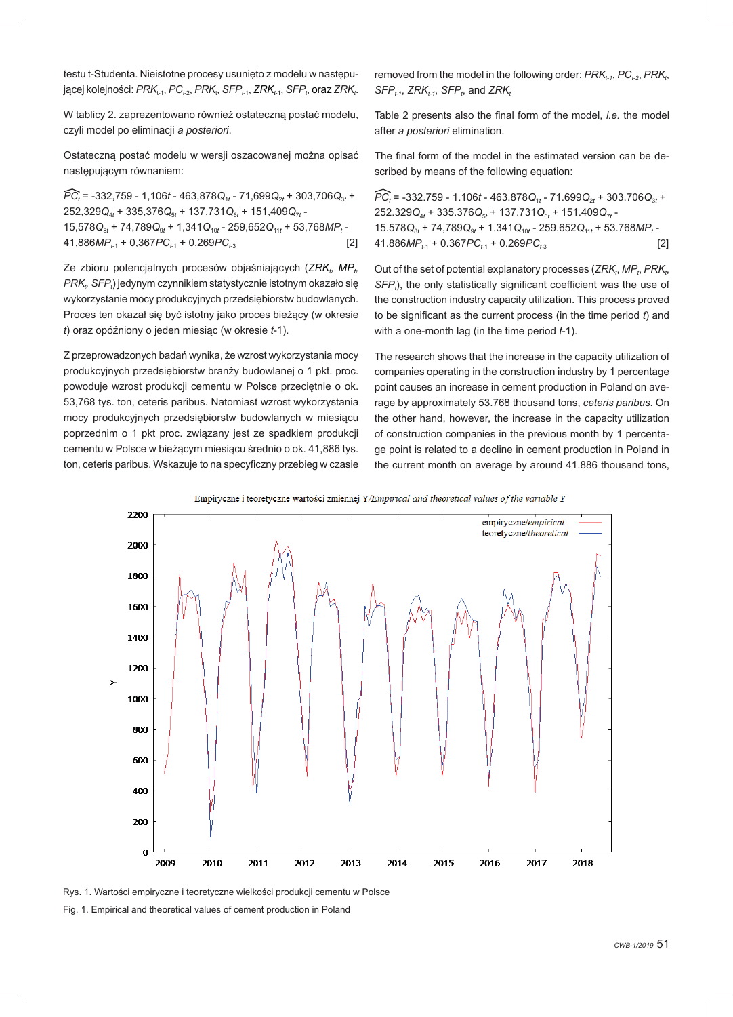testu t-Studenta. Nieistotne procesy usunięto z modelu w następującej kolejności: *PRK<sub>t-1</sub>, PC<sub>t-2</sub>, PRK<sub>t</sub>, SFP<sub>t-1</sub>, ZRK<sub>t-1</sub>, SFP<sub>t</sub>, oraz ZRK<sub>t</sub>.* 

W tablicy 2. zaprezentowano również ostateczną postać modelu, czyli model po eliminacji *a posteriori*.

Ostateczną postać modelu w wersji oszacowanej można opisać następującym równaniem:

*PCt* = -332,759 - 1,106*t* - 463,878*Q*1*<sup>t</sup>* - 71,699*Q*2*<sup>t</sup>* + 303,706*Q*3*<sup>t</sup>* + 252,329*Q*4*<sup>t</sup>* + 335,376*Q*5*<sup>t</sup>* + 137,731*Q*6*<sup>t</sup>* + 151,409*Q*7*<sup>t</sup>* - 15,578 $Q_{8t}$  + 74,789 $Q_{9t}$  + 1,341 $Q_{10t}$  - 259,652 $Q_{11t}$  + 53,768 $MP_t$  - $41,886MP_{t-1} + 0,367PC_{t-1} + 0,269PC_{t-3}$  [2]

Ze zbioru potencjalnych procesów objaśniających (*ZRK<sub>t</sub>, MP*<sub>t</sub>, *PRK<sub>t</sub>, SFP<sub>t</sub>) jedynym czynnikiem statystycznie istotnym okazało się* wykorzystanie mocy produkcyjnych przedsiębiorstw budowlanych. Proces ten okazał się być istotny jako proces bieżący (w okresie *t*) oraz opóźniony o jeden miesiąc (w okresie *t*-1).

Z przeprowadzonych badań wynika, że wzrost wykorzystania mocy produkcyjnych przedsiębiorstw branży budowlanej o 1 pkt. proc. powoduje wzrost produkcji cementu w Polsce przeciętnie o ok. 53,768 tys. ton, ceteris paribus. Natomiast wzrost wykorzystania mocy produkcyjnych przedsiębiorstw budowlanych w miesiącu poprzednim o 1 pkt proc. związany jest ze spadkiem produkcji cementu w Polsce w bieżącym miesiącu średnio o ok. 41,886 tys. ton, ceteris paribus. Wskazuje to na specyficzny przebieg w czasie removed from the model in the following order:  $PRK_{t-1}$ ,  $PC_{t-2}$ ,  $PRK_{t}$ ,  $SFP_{t-1}$ ,  $ZRK_{t-1}$ ,  $SFP_{t}$ , and  $ZRK_{t}$ 

Table 2 presents also the final form of the model, *i.e.* the model after *a posteriori* elimination.

The final form of the model in the estimated version can be described by means of the following equation:

 $PC_t$  = -332.759 - 1.106*t* - 463.878 $Q_{1t}$  - 71.699 $Q_{2t}$  + 303.706 $Q_{3t}$  + 252.329*Q*4*<sup>t</sup>* + 335.376*Q*5*<sup>t</sup>* + 137.731*Q*6*<sup>t</sup>* + 151.409*Q*7*<sup>t</sup>* - 15.578 $Q_{8t}$  + 74,789 $Q_{9t}$  + 1.341 $Q_{10t}$  - 259.652 $Q_{11t}$  + 53.768MP<sub>t</sub> -41.886*MP*<sub>t1</sub> + 0.367*PC*<sub>t1</sub> + 0.269*PC*<sub>t3</sub> [2]

Out of the set of potential explanatory processes (*ZRK<sub>t</sub>*, *MP<sub>t</sub>*, *PRK<sub>t</sub>*, SFP<sub>t</sub>), the only statistically significant coefficient was the use of the construction industry capacity utilization. This process proved to be significant as the current process (in the time period *t*) and with a one-month lag (in the time period *t*-1).

The research shows that the increase in the capacity utilization of companies operating in the construction industry by 1 percentage point causes an increase in cement production in Poland on average by approximately 53.768 thousand tons, *ceteris paribus*. On the other hand, however, the increase in the capacity utilization of construction companies in the previous month by 1 percentage point is related to a decline in cement production in Poland in the current month on average by around 41.886 thousand tons,

Empiryczne i teoretyczne wartości zmiennej Y/Empirical and theoretical values of the variable Y



Rys. 1. Wartości empiryczne i teoretyczne wielkości produkcji cementu w Polsce

Fig. 1. Empirical and theoretical values of cement production in Poland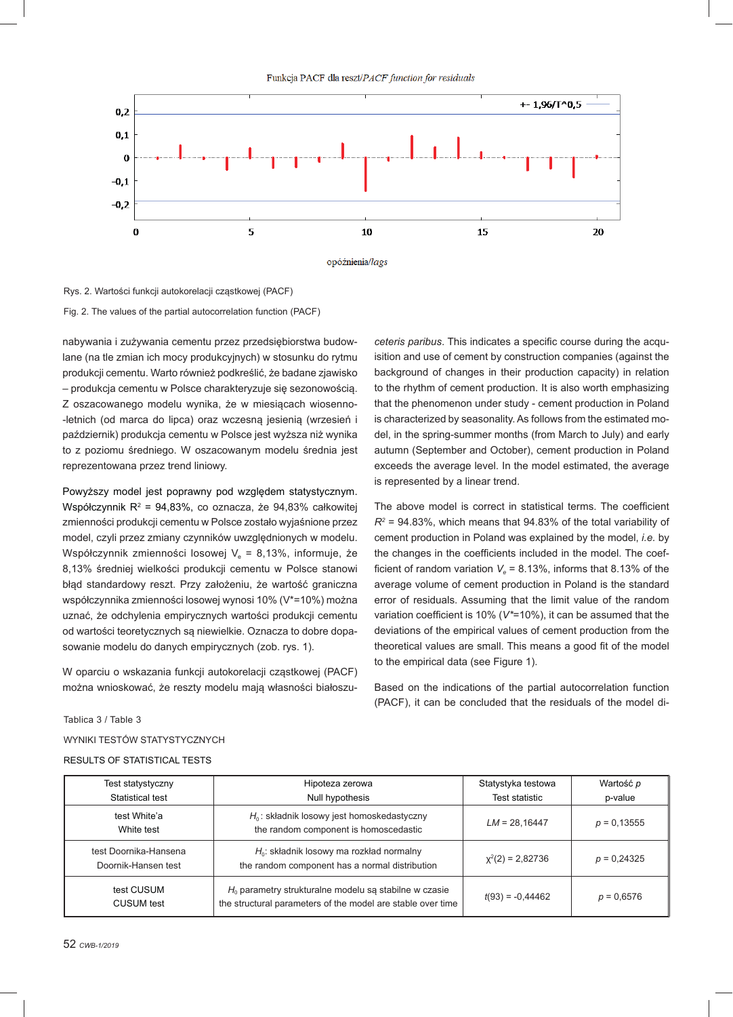Funkcja PACF dla reszt/PACF function for residuals





Rys. 2. Wartości funkcji autokorelacji cząstkowej (PACF) Fig. 2. The values of the partial autocorrelation function (PACF)

nabywania i zużywania cementu przez przedsiębiorstwa budowlane (na tle zmian ich mocy produkcyjnych) w stosunku do rytmu produkcji cementu. Warto również podkreślić, że badane zjawisko – produkcja cementu w Polsce charakteryzuje się sezonowością. Z oszacowanego modelu wynika, że w miesiącach wiosenno- -letnich (od marca do lipca) oraz wczesną jesienią (wrzesień i październik) produkcja cementu w Polsce jest wyższa niż wynika to z poziomu średniego. W oszacowanym modelu średnia jest reprezentowana przez trend liniowy.

Powyższy model jest poprawny pod względem statystycznym. Współczynnik  $R^2 = 94,83\%$ , co oznacza, że  $94,83\%$  całkowitej zmienności produkcji cementu w Polsce zostało wyjaśnione przez model, czyli przez zmiany czynników uwzględnionych w modelu. Współczynnik zmienności losowej  $V_e = 8,13\%$ , informuje, że 8,13% średniej wielkości produkcji cementu w Polsce stanowi błąd standardowy reszt. Przy założeniu, że wartość graniczna współczynnika zmienności losowej wynosi 10% (V\*=10%) można uznać, że odchylenia empirycznych wartości produkcji cementu od wartości teoretycznych są niewielkie. Oznacza to dobre dopasowanie modelu do danych empirycznych (zob. rys. 1).

W oparciu o wskazania funkcji autokorelacji cząstkowej (PACF) można wnioskować, że reszty modelu mają własności białoszu*ceteris paribus*. This indicates a specific course during the acquisition and use of cement by construction companies (against the background of changes in their production capacity) in relation to the rhythm of cement production. It is also worth emphasizing that the phenomenon under study - cement production in Poland is characterized by seasonality. As follows from the estimated model, in the spring-summer months (from March to July) and early autumn (September and October), cement production in Poland exceeds the average level. In the model estimated, the average is represented by a linear trend.

The above model is correct in statistical terms. The coefficient  $R^2$  = 94.83%, which means that 94.83% of the total variability of cement production in Poland was explained by the model, *i.e.* by the changes in the coefficients included in the model. The coefficient of random variation  $V_e$  = 8.13%, informs that 8.13% of the average volume of cement production in Poland is the standard error of residuals. Assuming that the limit value of the random variation coefficient is 10% (V\*=10%), it can be assumed that the deviations of the empirical values of cement production from the theoretical values are small. This means a good fit of the model to the empirical data (see Figure 1).

Based on the indications of the partial autocorrelation function (PACF), it can be concluded that the residuals of the model di-

Tablica 3 / Table 3

WYNIKI TESTÓW STATYSTYCZNYCH

RESULTS OF STATISTICAL TESTS

|                                 | Test statystyczny                            | Hipoteza zerowa                                                                                                         | Statystyka testowa | Wartość p     |
|---------------------------------|----------------------------------------------|-------------------------------------------------------------------------------------------------------------------------|--------------------|---------------|
|                                 | Statistical test                             | Null hypothesis                                                                                                         | Test statistic     | p-value       |
|                                 | test White'a<br>White test                   | $H_0$ : składnik losowy jest homoskedastyczny<br>the random component is homoscedastic                                  | $LM = 28,16447$    | $p = 0.13555$ |
|                                 | test Doornika-Hansena<br>Doornik-Hansen test | $H_0$ : składnik losowy ma rozkład normalny<br>the random component has a normal distribution                           | $x^2(2) = 2,82736$ | $p = 0.24325$ |
| test CUSUM<br><b>CUSUM</b> test |                                              | $H_0$ parametry strukturalne modelu są stabilne w czasie<br>the structural parameters of the model are stable over time | $t(93) = -0.44462$ | $p = 0.6576$  |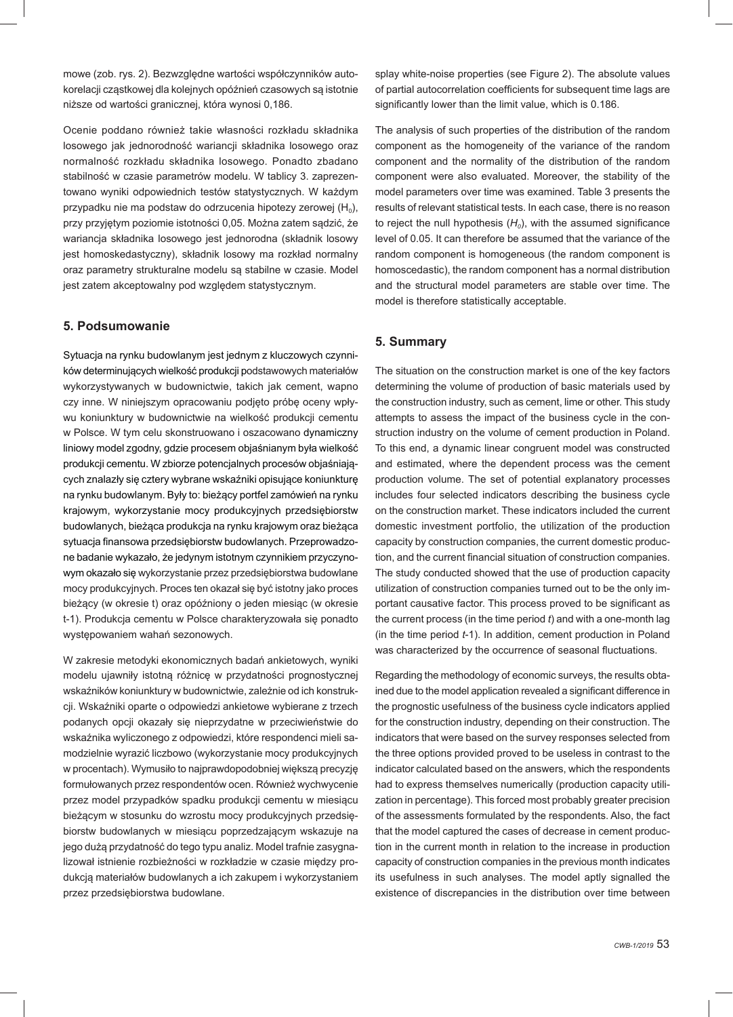mowe (zob. rys. 2). Bezwzględne wartości współczynników autokorelacji cząstkowej dla kolejnych opóźnień czasowych są istotnie niższe od wartości granicznej, która wynosi 0,186.

Ocenie poddano również takie własności rozkładu składnika losowego jak jednorodność wariancji składnika losowego oraz normalność rozkładu składnika losowego. Ponadto zbadano stabilność w czasie parametrów modelu. W tablicy 3. zaprezentowano wyniki odpowiednich testów statystycznych. W każdym przypadku nie ma podstaw do odrzucenia hipotezy zerowej  $(H_0)$ , przy przyjętym poziomie istotności 0,05. Można zatem sądzić, że wariancja składnika losowego jest jednorodna (składnik losowy jest homoskedastyczny), składnik losowy ma rozkład normalny oraz parametry strukturalne modelu są stabilne w czasie. Model jest zatem akceptowalny pod względem statystycznym.

## **5. Podsumowanie**

Sytuacja na rynku budowlanym jest jednym z kluczowych czynników determinujących wielkość produkcji podstawowych materiałów wykorzystywanych w budownictwie, takich jak cement, wapno czy inne. W niniejszym opracowaniu podjęto próbę oceny wpływu koniunktury w budownictwie na wielkość produkcji cementu w Polsce. W tym celu skonstruowano i oszacowano dynamiczny liniowy model zgodny, gdzie procesem objaśnianym była wielkość produkcji cementu. W zbiorze potencjalnych procesów objaśniających znalazły się cztery wybrane wskaźniki opisujące koniunkturę na rynku budowlanym. Były to: bieżący portfel zamówień na rynku krajowym, wykorzystanie mocy produkcyjnych przedsiębiorstw budowlanych, bieżąca produkcja na rynku krajowym oraz bieżąca sytuacja finansowa przedsiębiorstw budowlanych. Przeprowadzone badanie wykazało, że jedynym istotnym czynnikiem przyczynowym okazało się wykorzystanie przez przedsiębiorstwa budowlane mocy produkcyjnych. Proces ten okazał się być istotny jako proces bieżący (w okresie t) oraz opóźniony o jeden miesiąc (w okresie t-1). Produkcja cementu w Polsce charakteryzowała się ponadto występowaniem wahań sezonowych.

W zakresie metodyki ekonomicznych badań ankietowych, wyniki modelu ujawniły istotną różnicę w przydatności prognostycznej wskaźników koniunktury w budownictwie, zależnie od ich konstrukcji. Wskaźniki oparte o odpowiedzi ankietowe wybierane z trzech podanych opcji okazały się nieprzydatne w przeciwieństwie do wskaźnika wyliczonego z odpowiedzi, które respondenci mieli samodzielnie wyrazić liczbowo (wykorzystanie mocy produkcyjnych w procentach). Wymusiło to najprawdopodobniej większą precyzję formułowanych przez respondentów ocen. Również wychwycenie przez model przypadków spadku produkcji cementu w miesiącu bieżącym w stosunku do wzrostu mocy produkcyjnych przedsiębiorstw budowlanych w miesiącu poprzedzającym wskazuje na jego dużą przydatność do tego typu analiz. Model trafnie zasygnalizował istnienie rozbieżności w rozkładzie w czasie między produkcją materiałów budowlanych a ich zakupem i wykorzystaniem przez przedsiębiorstwa budowlane.

splay white-noise properties (see Figure 2). The absolute values of partial autocorrelation coefficients for subsequent time lags are significantly lower than the limit value, which is 0.186.

The analysis of such properties of the distribution of the random component as the homogeneity of the variance of the random component and the normality of the distribution of the random component were also evaluated. Moreover, the stability of the model parameters over time was examined. Table 3 presents the results of relevant statistical tests. In each case, there is no reason to reject the null hypothesis  $(H_0)$ , with the assumed significance level of 0.05. It can therefore be assumed that the variance of the random component is homogeneous (the random component is homoscedastic), the random component has a normal distribution and the structural model parameters are stable over time. The model is therefore statistically acceptable.

## **5. Summary**

The situation on the construction market is one of the key factors determining the volume of production of basic materials used by the construction industry, such as cement, lime or other. This study attempts to assess the impact of the business cycle in the construction industry on the volume of cement production in Poland. To this end, a dynamic linear congruent model was constructed and estimated, where the dependent process was the cement production volume. The set of potential explanatory processes includes four selected indicators describing the business cycle on the construction market. These indicators included the current domestic investment portfolio, the utilization of the production capacity by construction companies, the current domestic production, and the current financial situation of construction companies. The study conducted showed that the use of production capacity utilization of construction companies turned out to be the only important causative factor. This process proved to be significant as the current process (in the time period *t*) and with a one-month lag (in the time period *t*-1). In addition, cement production in Poland was characterized by the occurrence of seasonal fluctuations.

Regarding the methodology of economic surveys, the results obtained due to the model application revealed a significant difference in the prognostic usefulness of the business cycle indicators applied for the construction industry, depending on their construction. The indicators that were based on the survey responses selected from the three options provided proved to be useless in contrast to the indicator calculated based on the answers, which the respondents had to express themselves numerically (production capacity utilization in percentage). This forced most probably greater precision of the assessments formulated by the respondents. Also, the fact that the model captured the cases of decrease in cement production in the current month in relation to the increase in production capacity of construction companies in the previous month indicates its usefulness in such analyses. The model aptly signalled the existence of discrepancies in the distribution over time between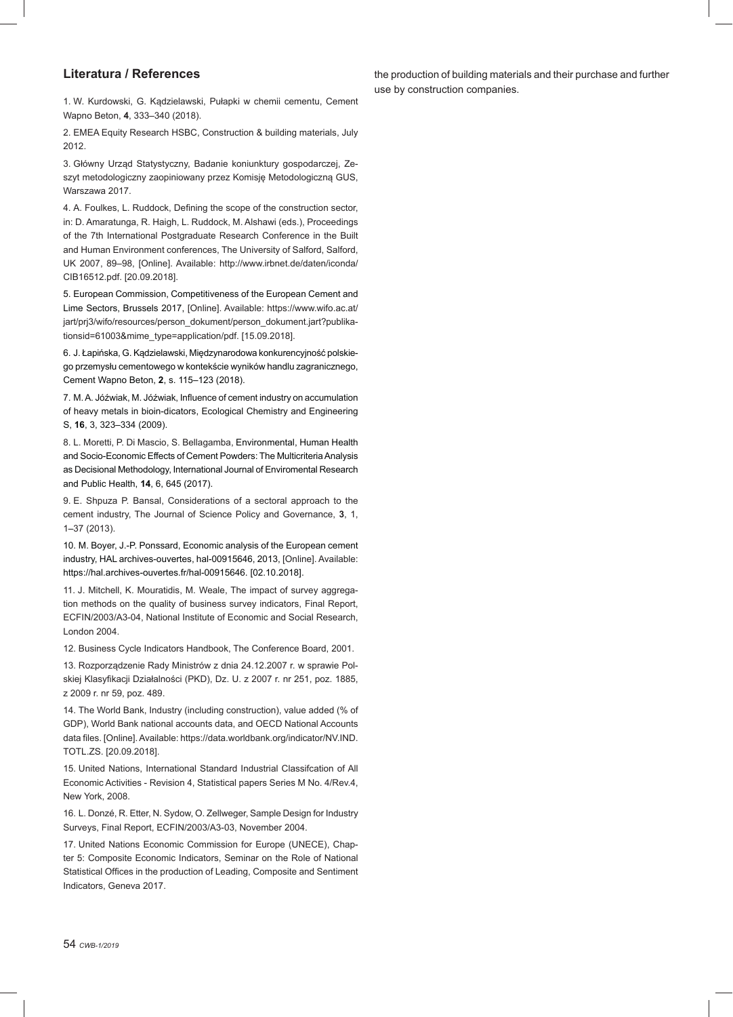#### **Literatura / References**

1. W. Kurdowski, G. Kądzielawski, Pułapki w chemii cementu, Cement Wapno Beton, **4**, 333–340 (2018).

2. EMEA Equity Research HSBC, Construction & building materials, July 2012.

3. Główny Urząd Statystyczny, Badanie koniunktury gospodarczej, Zeszyt metodologiczny zaopiniowany przez Komisję Metodologiczną GUS, Warszawa 2017.

4. A. Foulkes, L. Ruddock, Defining the scope of the construction sector, in: D. Amaratunga, R. Haigh, L. Ruddock, M. Alshawi (eds.), Proceedings of the 7th International Postgraduate Research Conference in the Built and Human Environment conferences, The University of Salford, Salford, UK 2007, 89–98, [Online]. Available: http://www.irbnet.de/daten/iconda/ CIB16512.pdf. [20.09.2018].

5. European Commission, Competitiveness of the European Cement and Lime Sectors, Brussels 2017, [Online]. Available: https://www.wifo.ac.at/ jart/prj3/wifo/resources/person\_dokument/person\_dokument.jart?publikationsid=61003&mime\_type=application/pdf. [15.09.2018].

6. J. Łapińska, G. Kądzielawski, Międzynarodowa konkurencyjność polskiego przemysłu cementowego w kontekście wyników handlu zagranicznego, Cement Wapno Beton, **2**, s. 115–123 (2018).

7. M. A. Jóźwiak, M. Jóźwiak, Influence of cement industry on accumulation of heavy metals in bioin-dicators, Ecological Chemistry and Engineering S, **16**, 3, 323–334 (2009).

8. L. Moretti, P. Di Mascio, S. Bellagamba, Environmental, Human Health and Socio-Economic Effects of Cement Powders: The Multicriteria Analysis as Decisional Methodology, International Journal of Enviromental Research and Public Health, **14**, 6, 645 (2017).

9. E. Shpuza P. Bansal, Considerations of a sectoral approach to the cement industry, The Journal of Science Policy and Governance, **3**, 1, 1–37 (2013).

10. M. Boyer, J.-P. Ponssard, Economic analysis of the European cement industry, HAL archives-ouvertes, hal-00915646, 2013, [Online]. Available: https://hal.archives-ouvertes.fr/hal-00915646. [02.10.2018].

11. J. Mitchell, K. Mouratidis, M. Weale, The impact of survey aggregation methods on the quality of business survey indicators, Final Report, ECFIN/2003/A3-04, National Institute of Economic and Social Research, London 2004.

12. Business Cycle Indicators Handbook, The Conference Board, 2001.

13. Rozporządzenie Rady Ministrów z dnia 24.12.2007 r. w sprawie Polskiej Klasyfikacji Działalności (PKD), Dz. U. z 2007 r. nr 251, poz. 1885, z 2009 r. nr 59, poz. 489.

14. The World Bank, Industry (including construction), value added (% of GDP), World Bank national accounts data, and OECD National Accounts data files. [Online]. Available: https://data.worldbank.org/indicator/NV.IND. TOTL.ZS. [20.09.2018].

15. United Nations, International Standard Industrial Classifcation of All Economic Activities - Revision 4, Statistical papers Series M No. 4/Rev.4, New York, 2008.

16. L. Donzé, R. Etter, N. Sydow, O. Zellweger, Sample Design for Industry Surveys, Final Report, ECFIN/2003/A3-03, November 2004.

17. United Nations Economic Commission for Europe (UNECE), Chapter 5: Composite Economic Indicators, Seminar on the Role of National Statistical Offices in the production of Leading, Composite and Sentiment Indicators, Geneva 2017.

the production of building materials and their purchase and further use by construction companies.